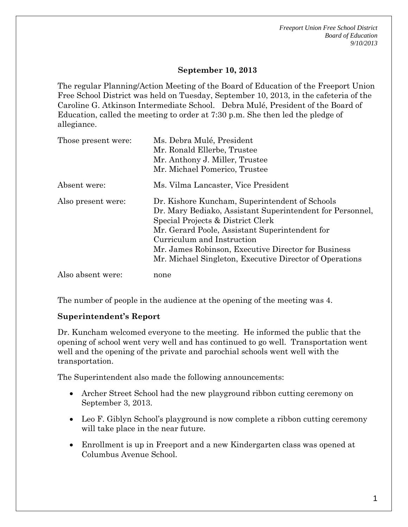*Freeport Union Free School District Board of Education 9/10/2013* 

### **September 10, 2013**

The regular Planning/Action Meeting of the Board of Education of the Freeport Union Free School District was held on Tuesday, September 10, 2013, in the cafeteria of the Caroline G. Atkinson Intermediate School. Debra Mulé, President of the Board of Education, called the meeting to order at 7:30 p.m. She then led the pledge of allegiance.

| Those present were: | Ms. Debra Mulé, President<br>Mr. Ronald Ellerbe, Trustee<br>Mr. Anthony J. Miller, Trustee<br>Mr. Michael Pomerico, Trustee                                                                                                                                                                                                                        |
|---------------------|----------------------------------------------------------------------------------------------------------------------------------------------------------------------------------------------------------------------------------------------------------------------------------------------------------------------------------------------------|
| Absent were:        | Ms. Vilma Lancaster, Vice President                                                                                                                                                                                                                                                                                                                |
| Also present were:  | Dr. Kishore Kuncham, Superintendent of Schools<br>Dr. Mary Bediako, Assistant Superintendent for Personnel,<br>Special Projects & District Clerk<br>Mr. Gerard Poole, Assistant Superintendent for<br>Curriculum and Instruction<br>Mr. James Robinson, Executive Director for Business<br>Mr. Michael Singleton, Executive Director of Operations |
| Also absent were:   | none                                                                                                                                                                                                                                                                                                                                               |

The number of people in the audience at the opening of the meeting was 4.

#### **Superintendent's Report**

Dr. Kuncham welcomed everyone to the meeting. He informed the public that the opening of school went very well and has continued to go well. Transportation went well and the opening of the private and parochial schools went well with the transportation.

The Superintendent also made the following announcements:

- Archer Street School had the new playground ribbon cutting ceremony on September 3, 2013.
- Leo F. Giblyn School's playground is now complete a ribbon cutting ceremony will take place in the near future.
- Enrollment is up in Freeport and a new Kindergarten class was opened at Columbus Avenue School.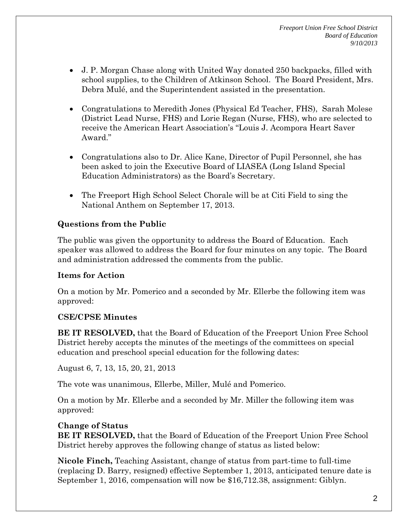- J. P. Morgan Chase along with United Way donated 250 backpacks, filled with school supplies, to the Children of Atkinson School. The Board President, Mrs. Debra Mulé, and the Superintendent assisted in the presentation.
- Congratulations to Meredith Jones (Physical Ed Teacher, FHS), Sarah Molese (District Lead Nurse, FHS) and Lorie Regan (Nurse, FHS), who are selected to receive the American Heart Association's "Louis J. Acompora Heart Saver Award."
- Congratulations also to Dr. Alice Kane, Director of Pupil Personnel, she has been asked to join the Executive Board of LIASEA (Long Island Special Education Administrators) as the Board's Secretary.
- The Freeport High School Select Chorale will be at Citi Field to sing the National Anthem on September 17, 2013.

# **Questions from the Public**

The public was given the opportunity to address the Board of Education. Each speaker was allowed to address the Board for four minutes on any topic. The Board and administration addressed the comments from the public.

## **Items for Action**

On a motion by Mr. Pomerico and a seconded by Mr. Ellerbe the following item was approved:

## **CSE/CPSE Minutes**

**BE IT RESOLVED,** that the Board of Education of the Freeport Union Free School District hereby accepts the minutes of the meetings of the committees on special education and preschool special education for the following dates:

August 6, 7, 13, 15, 20, 21, 2013

The vote was unanimous, Ellerbe, Miller, Mulé and Pomerico.

On a motion by Mr. Ellerbe and a seconded by Mr. Miller the following item was approved:

# **Change of Status**

**BE IT RESOLVED,** that the Board of Education of the Freeport Union Free School District hereby approves the following change of status as listed below:

**Nicole Finch,** Teaching Assistant, change of status from part-time to full-time (replacing D. Barry, resigned) effective September 1, 2013, anticipated tenure date is September 1, 2016, compensation will now be \$16,712.38, assignment: Giblyn.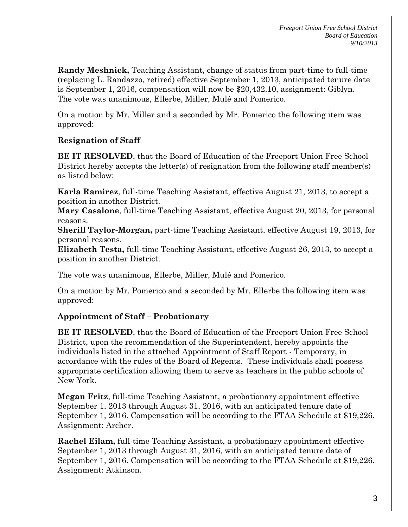**Randy Meshnick,** Teaching Assistant, change of status from part-time to full-time (replacing L. Randazzo, retired) effective September 1, 2013, anticipated tenure date is September 1, 2016, compensation will now be \$20,432.10, assignment: Giblyn. The vote was unanimous, Ellerbe, Miller, Mulé and Pomerico.

On a motion by Mr. Miller and a seconded by Mr. Pomerico the following item was approved:

# **Resignation of Staff**

**BE IT RESOLVED**, that the Board of Education of the Freeport Union Free School District hereby accepts the letter(s) of resignation from the following staff member(s) as listed below:

**Karla Ramirez**, full-time Teaching Assistant, effective August 21, 2013, to accept a position in another District.

**Mary Casalone**, full-time Teaching Assistant, effective August 20, 2013, for personal reasons.

**Sherill Taylor-Morgan,** part-time Teaching Assistant, effective August 19, 2013, for personal reasons.

**Elizabeth Testa,** full-time Teaching Assistant, effective August 26, 2013, to accept a position in another District.

The vote was unanimous, Ellerbe, Miller, Mulé and Pomerico.

On a motion by Mr. Pomerico and a seconded by Mr. Ellerbe the following item was approved:

# **Appointment of Staff – Probationary**

**BE IT RESOLVED**, that the Board of Education of the Freeport Union Free School District, upon the recommendation of the Superintendent, hereby appoints the individuals listed in the attached Appointment of Staff Report - Temporary, in accordance with the rules of the Board of Regents. These individuals shall possess appropriate certification allowing them to serve as teachers in the public schools of New York.

**Megan Fritz**, full-time Teaching Assistant, a probationary appointment effective September 1, 2013 through August 31, 2016, with an anticipated tenure date of September 1, 2016. Compensation will be according to the FTAA Schedule at \$19,226. Assignment: Archer.

**Rachel Eilam,** full-time Teaching Assistant, a probationary appointment effective September 1, 2013 through August 31, 2016, with an anticipated tenure date of September 1, 2016. Compensation will be according to the FTAA Schedule at \$19,226. Assignment: Atkinson.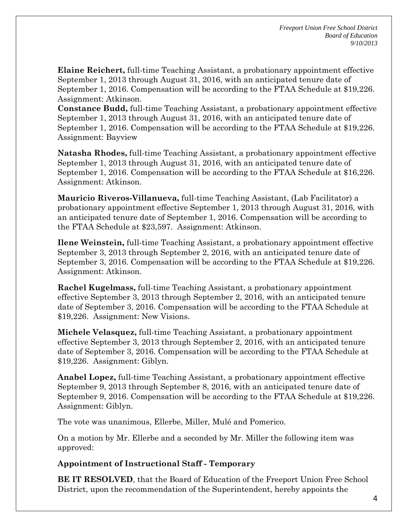**Elaine Reichert,** full-time Teaching Assistant, a probationary appointment effective September 1, 2013 through August 31, 2016, with an anticipated tenure date of September 1, 2016. Compensation will be according to the FTAA Schedule at \$19,226. Assignment: Atkinson.

**Constance Budd,** full-time Teaching Assistant, a probationary appointment effective September 1, 2013 through August 31, 2016, with an anticipated tenure date of September 1, 2016. Compensation will be according to the FTAA Schedule at \$19,226. Assignment: Bayview

**Natasha Rhodes,** full-time Teaching Assistant, a probationary appointment effective September 1, 2013 through August 31, 2016, with an anticipated tenure date of September 1, 2016. Compensation will be according to the FTAA Schedule at \$16,226. Assignment: Atkinson.

**Mauricio Riveros-Villanueva,** full-time Teaching Assistant, (Lab Facilitator) a probationary appointment effective September 1, 2013 through August 31, 2016, with an anticipated tenure date of September 1, 2016. Compensation will be according to the FTAA Schedule at \$23,597. Assignment: Atkinson.

**Ilene Weinstein,** full-time Teaching Assistant, a probationary appointment effective September 3, 2013 through September 2, 2016, with an anticipated tenure date of September 3, 2016. Compensation will be according to the FTAA Schedule at \$19,226. Assignment: Atkinson.

**Rachel Kugelmass,** full-time Teaching Assistant, a probationary appointment effective September 3, 2013 through September 2, 2016, with an anticipated tenure date of September 3, 2016. Compensation will be according to the FTAA Schedule at \$19,226. Assignment: New Visions.

**Michele Velasquez,** full-time Teaching Assistant, a probationary appointment effective September 3, 2013 through September 2, 2016, with an anticipated tenure date of September 3, 2016. Compensation will be according to the FTAA Schedule at \$19,226. Assignment: Giblyn.

**Anabel Lopez,** full-time Teaching Assistant, a probationary appointment effective September 9, 2013 through September 8, 2016, with an anticipated tenure date of September 9, 2016. Compensation will be according to the FTAA Schedule at \$19,226. Assignment: Giblyn.

The vote was unanimous, Ellerbe, Miller, Mulé and Pomerico.

On a motion by Mr. Ellerbe and a seconded by Mr. Miller the following item was approved:

## **Appointment of Instructional Staff - Temporary**

**BE IT RESOLVED**, that the Board of Education of the Freeport Union Free School District, upon the recommendation of the Superintendent, hereby appoints the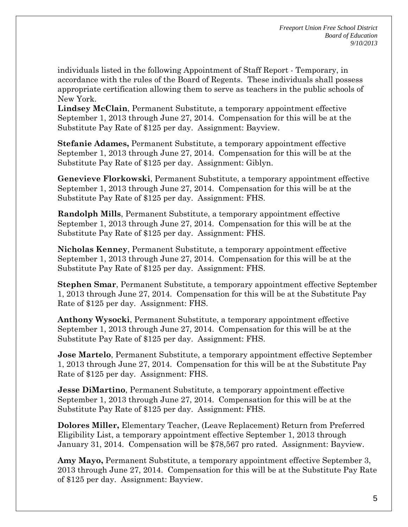individuals listed in the following Appointment of Staff Report - Temporary, in accordance with the rules of the Board of Regents. These individuals shall possess appropriate certification allowing them to serve as teachers in the public schools of New York.

**Lindsey McClain**, Permanent Substitute, a temporary appointment effective September 1, 2013 through June 27, 2014. Compensation for this will be at the Substitute Pay Rate of \$125 per day. Assignment: Bayview.

**Stefanie Adames,** Permanent Substitute, a temporary appointment effective September 1, 2013 through June 27, 2014. Compensation for this will be at the Substitute Pay Rate of \$125 per day. Assignment: Giblyn.

**Genevieve Florkowski**, Permanent Substitute, a temporary appointment effective September 1, 2013 through June 27, 2014. Compensation for this will be at the Substitute Pay Rate of \$125 per day. Assignment: FHS.

**Randolph Mills**, Permanent Substitute, a temporary appointment effective September 1, 2013 through June 27, 2014. Compensation for this will be at the Substitute Pay Rate of \$125 per day. Assignment: FHS.

**Nicholas Kenney**, Permanent Substitute, a temporary appointment effective September 1, 2013 through June 27, 2014. Compensation for this will be at the Substitute Pay Rate of \$125 per day. Assignment: FHS.

**Stephen Smar**, Permanent Substitute, a temporary appointment effective September 1, 2013 through June 27, 2014. Compensation for this will be at the Substitute Pay Rate of \$125 per day. Assignment: FHS.

**Anthony Wysocki**, Permanent Substitute, a temporary appointment effective September 1, 2013 through June 27, 2014. Compensation for this will be at the Substitute Pay Rate of \$125 per day. Assignment: FHS.

**Jose Martelo**, Permanent Substitute, a temporary appointment effective September 1, 2013 through June 27, 2014. Compensation for this will be at the Substitute Pay Rate of \$125 per day. Assignment: FHS.

**Jesse DiMartino**, Permanent Substitute, a temporary appointment effective September 1, 2013 through June 27, 2014. Compensation for this will be at the Substitute Pay Rate of \$125 per day. Assignment: FHS.

**Dolores Miller,** Elementary Teacher, (Leave Replacement) Return from Preferred Eligibility List, a temporary appointment effective September 1, 2013 through January 31, 2014. Compensation will be \$78,567 pro rated. Assignment: Bayview.

**Amy Mayo,** Permanent Substitute, a temporary appointment effective September 3, 2013 through June 27, 2014. Compensation for this will be at the Substitute Pay Rate of \$125 per day. Assignment: Bayview.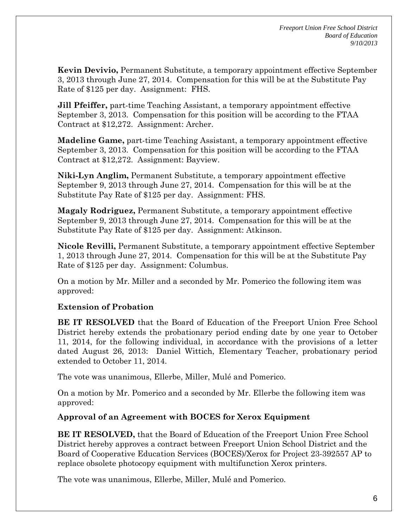**Kevin Devivio,** Permanent Substitute, a temporary appointment effective September 3, 2013 through June 27, 2014. Compensation for this will be at the Substitute Pay Rate of \$125 per day. Assignment: FHS.

**Jill Pfeiffer,** part-time Teaching Assistant, a temporary appointment effective September 3, 2013. Compensation for this position will be according to the FTAA Contract at \$12,272. Assignment: Archer.

**Madeline Game,** part-time Teaching Assistant, a temporary appointment effective September 3, 2013. Compensation for this position will be according to the FTAA Contract at \$12,272. Assignment: Bayview.

**Niki-Lyn Anglim,** Permanent Substitute, a temporary appointment effective September 9, 2013 through June 27, 2014. Compensation for this will be at the Substitute Pay Rate of \$125 per day. Assignment: FHS.

**Magaly Rodriguez,** Permanent Substitute, a temporary appointment effective September 9, 2013 through June 27, 2014. Compensation for this will be at the Substitute Pay Rate of \$125 per day. Assignment: Atkinson.

**Nicole Revilli,** Permanent Substitute, a temporary appointment effective September 1, 2013 through June 27, 2014. Compensation for this will be at the Substitute Pay Rate of \$125 per day. Assignment: Columbus.

On a motion by Mr. Miller and a seconded by Mr. Pomerico the following item was approved:

# **Extension of Probation**

**BE IT RESOLVED** that the Board of Education of the Freeport Union Free School District hereby extends the probationary period ending date by one year to October 11, 2014, for the following individual, in accordance with the provisions of a letter dated August 26, 2013: Daniel Wittich, Elementary Teacher, probationary period extended to October 11, 2014.

The vote was unanimous, Ellerbe, Miller, Mulé and Pomerico.

On a motion by Mr. Pomerico and a seconded by Mr. Ellerbe the following item was approved:

# **Approval of an Agreement with BOCES for Xerox Equipment**

**BE IT RESOLVED,** that the Board of Education of the Freeport Union Free School District hereby approves a contract between Freeport Union School District and the Board of Cooperative Education Services (BOCES)/Xerox for Project 23-392557 AP to replace obsolete photocopy equipment with multifunction Xerox printers.

The vote was unanimous, Ellerbe, Miller, Mulé and Pomerico.